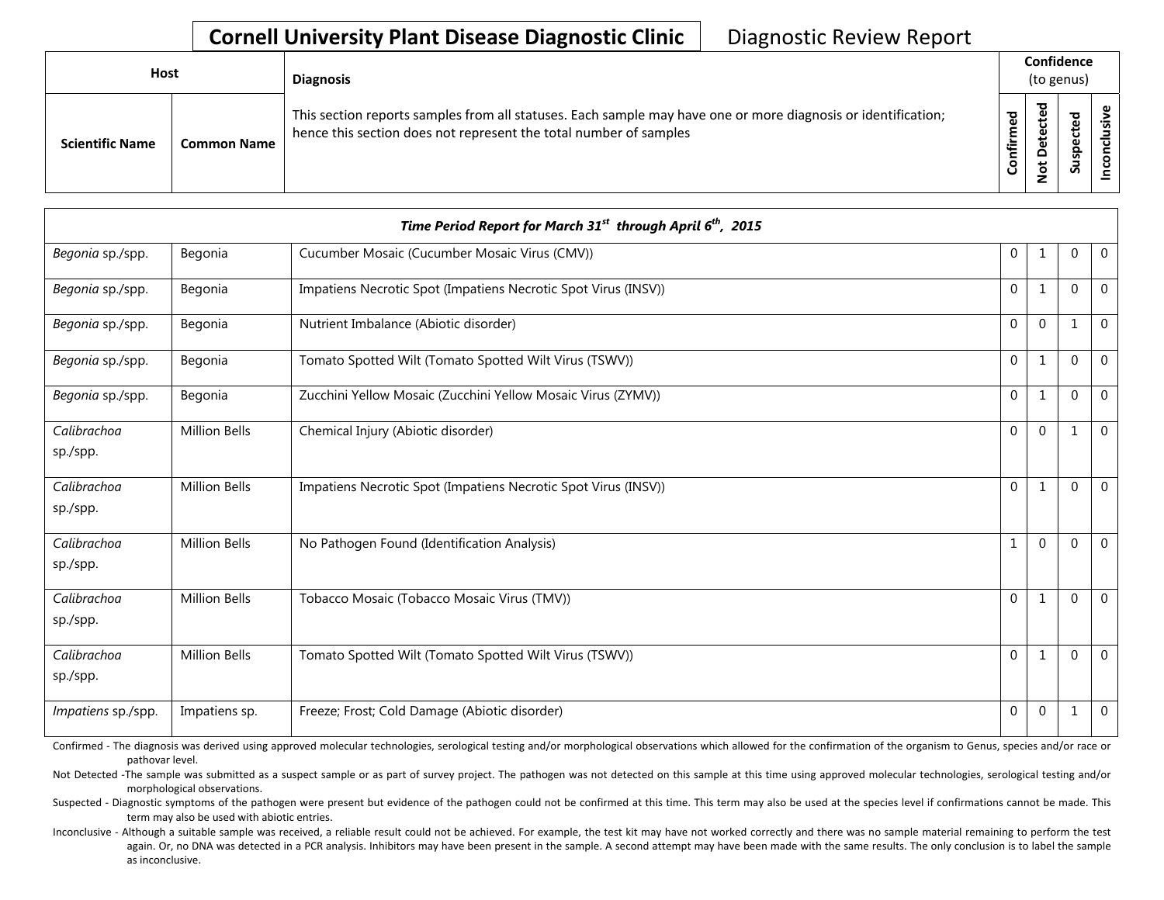## **Cornell University Plant Disease Diagnostic Clinic** | Diagnostic Review Report

| Host |                        |                    | <b>Diagnosis</b>                                                                                                                                                                   |               | Confidence<br>(to genus) |                     |   |
|------|------------------------|--------------------|------------------------------------------------------------------------------------------------------------------------------------------------------------------------------------|---------------|--------------------------|---------------------|---|
|      | <b>Scientific Name</b> | <b>Common Name</b> | This section reports samples from all statuses. Each sample may have one or more diagnosis or identification;<br>hence this section does not represent the total number of samples | ᇴ<br>٤<br>tir | ठ<br>Φ<br>⊷<br>پ<br>ۊ    | ᅙ<br>-<br>ဒ္ဓ<br>ഄഁ | S |

| Time Period Report for March 31 <sup>st</sup> through April 6 <sup>th</sup> , 2015 |                      |                                                                |                |              |             |                |  |  |
|------------------------------------------------------------------------------------|----------------------|----------------------------------------------------------------|----------------|--------------|-------------|----------------|--|--|
| Begonia sp./spp.                                                                   | Begonia              | Cucumber Mosaic (Cucumber Mosaic Virus (CMV))                  | $\overline{0}$ | 1            | 0           | $\mathbf{0}$   |  |  |
| Begonia sp./spp.                                                                   | Begonia              | Impatiens Necrotic Spot (Impatiens Necrotic Spot Virus (INSV)) | $\Omega$       | $\mathbf{1}$ | $\Omega$    | $\mathbf 0$    |  |  |
| Begonia sp./spp.                                                                   | Begonia              | Nutrient Imbalance (Abiotic disorder)                          | $\Omega$       | $\Omega$     | 1           | $\mathbf{0}$   |  |  |
| Begonia sp./spp.                                                                   | Begonia              | Tomato Spotted Wilt (Tomato Spotted Wilt Virus (TSWV))         | $\mathbf 0$    | $\mathbf{1}$ | $\mathbf 0$ | $\mathbf{0}$   |  |  |
| Begonia sp./spp.                                                                   | Begonia              | Zucchini Yellow Mosaic (Zucchini Yellow Mosaic Virus (ZYMV))   | $\mathbf 0$    | $\mathbf{1}$ | $\Omega$    | $\mathbf{0}$   |  |  |
| Calibrachoa<br>sp./spp.                                                            | <b>Million Bells</b> | Chemical Injury (Abiotic disorder)                             | $\Omega$       | $\Omega$     | 1           | $\overline{0}$ |  |  |
| Calibrachoa<br>sp./spp.                                                            | <b>Million Bells</b> | Impatiens Necrotic Spot (Impatiens Necrotic Spot Virus (INSV)) | $\Omega$       | 1            | $\Omega$    | $\mathbf 0$    |  |  |
| Calibrachoa<br>sp./spp.                                                            | <b>Million Bells</b> | No Pathogen Found (Identification Analysis)                    | $\mathbf{1}$   | $\Omega$     | $\Omega$    | $\overline{0}$ |  |  |
| Calibrachoa<br>sp./spp.                                                            | <b>Million Bells</b> | Tobacco Mosaic (Tobacco Mosaic Virus (TMV))                    | $\Omega$       | $\mathbf{1}$ | $\Omega$    | $\mathbf 0$    |  |  |
| Calibrachoa<br>sp./spp.                                                            | <b>Million Bells</b> | Tomato Spotted Wilt (Tomato Spotted Wilt Virus (TSWV))         | $\Omega$       | $\mathbf{1}$ | $\Omega$    | $\mathbf 0$    |  |  |
| Impatiens sp./spp.                                                                 | Impatiens sp.        | Freeze; Frost; Cold Damage (Abiotic disorder)                  | $\Omega$       | $\mathbf{0}$ | 1           | $\mathbf 0$    |  |  |

Confirmed - The diagnosis was derived using approved molecular technologies, serological testing and/or morphological observations which allowed for the confirmation of the organism to Genus, species and/or race or pathovar level.

Not Detected -The sample was submitted as a suspect sample or as part of survey project. The pathogen was not detected on this sample at this time using approved molecular technologies, serological testing and/or morphological observations.

Suspected - Diagnostic symptoms of the pathogen were present but evidence of the pathogen could not be confirmed at this time. This term may also be used at the species level if confirmations cannot be made. This term may also be used with abiotic entries.

Inconclusive - Although a suitable sample was received, a reliable result could not be achieved. For example, the test kit may have not worked correctly and there was no sample material remaining to perform the test again. Or, no DNA was detected in a PCR analysis. Inhibitors may have been present in the sample. A second attempt may have been made with the same results. The only conclusion is to label the sample as inconclusive.